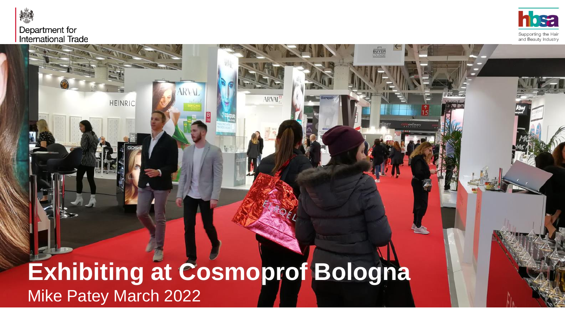

### Department for **International Trade**

**HEINRIC** 



**BUYE** 

# **Exhibiting at Cosmoprof Bologna**  Mike Patey March 2022

**ARVAL**<sup>2</sup>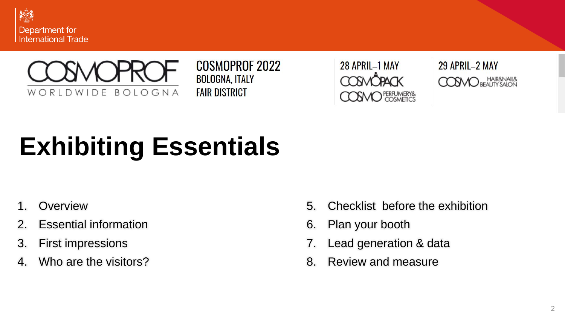



**COSMOPROF 2022 BOLOGNA, ITALY FAIR DISTRICT** 

28 APRIL-1 MAY **OSMO** PERFUMERY& 29 APRIL-2 MAY **COSMO** BEAUTY SAION

# **Exhibiting Essentials**

- 1. Overview
- 2. Essential information
- 3. First impressions
- 4. Who are the visitors?
- 5. Checklist before the exhibition
- 6. Plan your booth
- 7. Lead generation & data
- 8. Review and measure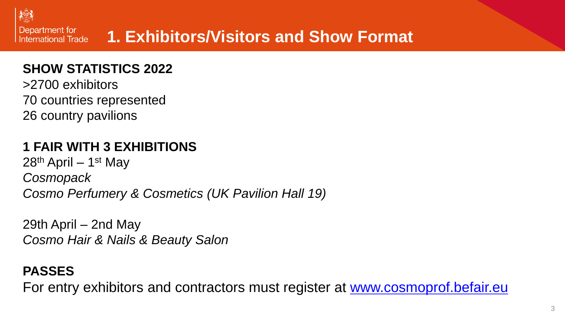

# **1. Exhibitors/Visitors and Show Format**

### **SHOW STATISTICS 2022**

>2700 exhibitors 70 countries represented 26 country pavilions

## **1 FAIR WITH 3 EXHIBITIONS**

28<sup>th</sup> April – 1<sup>st</sup> May *Cosmopack Cosmo Perfumery & Cosmetics (UK Pavilion Hall 19)*

29th April – 2nd May *Cosmo Hair & Nails & Beauty Salon*

## **PASSES**

For entry exhibitors and contractors must register at [www.cosmoprof.befair.eu](http://www.cosmoprof.befair.eu/)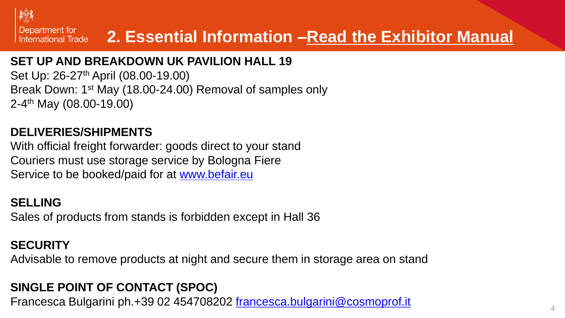

# **2. Essential Information –Read the Exhibitor Manual**

### **SET UP AND BREAKDOWN UK PAVILION HALL 19**

Set Up: 26-27<sup>th</sup> April (08.00-19.00) Break Down: 1st May (18.00-24.00) Removal of samples only 2-4<sup>th</sup> May (08.00-19.00)

### **DELIVERIES/SHIPMENTS**

With official freight forwarder: goods direct to your stand Couriers must use storage service by Bologna Fiere Service to be booked/paid for at [www.befair.eu](http://www.befair.eu/)

### **SELLING**

Sales of products from stands is forbidden except in Hall 36

### **SECURITY**

Advisable to remove products at night and secure them in storage area on stand

### **SINGLE POINT OF CONTACT (SPOC)**

Francesca Bulgarini ph.+39 02 454708202 [francesca.bulgarini@cosmoprof.it](mailto:francesca.bulgarini@cosmoprof.it)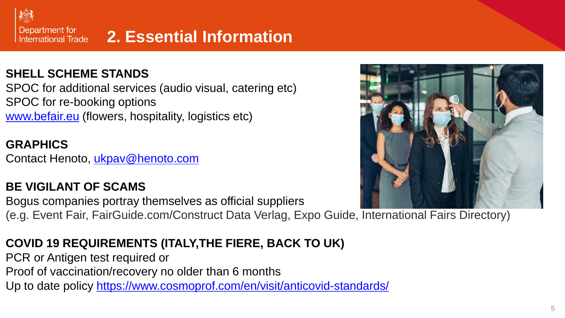

# **2. Essential Information**

### **SHELL SCHEME STANDS**

SPOC for additional services (audio visual, catering etc) SPOC for re-booking options [www.befair.eu](http://www.befair.eu/) (flowers, hospitality, logistics etc)

### **GRAPHICS**

Contact Henoto, [ukpav@henoto.com](mailto:ukpav@henoto.com)

### **BE VIGILANT OF SCAMS**

Bogus companies portray themselves as official suppliers (e.g. Event Fair, FairGuide.com/Construct Data Verlag, Expo Guide, International Fairs Directory)

### **COVID 19 REQUIREMENTS (ITALY,THE FIERE, BACK TO UK)**

PCR or Antigen test required or

Proof of vaccination/recovery no older than 6 months

Up to date policy<https://www.cosmoprof.com/en/visit/anticovid-standards/>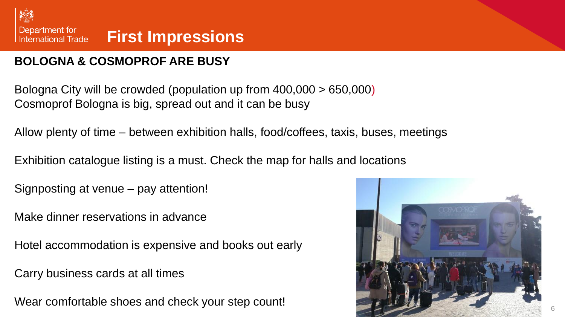

### **BOLOGNA & COSMOPROF ARE BUSY**

Bologna City will be crowded (population up from 400,000 > 650,000) Cosmoprof Bologna is big, spread out and it can be busy

Allow plenty of time – between exhibition halls, food/coffees, taxis, buses, meetings

Exhibition catalogue listing is a must. Check the map for halls and locations

Signposting at venue – pay attention!

Make dinner reservations in advance

Hotel accommodation is expensive and books out early

Carry business cards at all times

Wear comfortable shoes and check your step count!

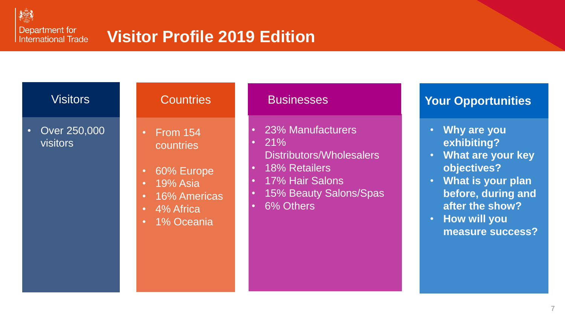

Department for **International Trade** 

# **Visitor Profile 2019 Edition**

| $\bullet$ | Over 250,000<br>visitors |
|-----------|--------------------------|
|           |                          |

- From 154 countries
- 60% Europe
- 19% Asia
- 16% Americas
- 4% Africa
- 1% Oceania

- 23% Manufacturers
- $21%$ Distributors/Wholesalers
- 18% Retailers
- 17% Hair Salons
- 15% Beauty Salons/Spas
- 6% Others

### Visitors **Net Countries Access** Businesses **Your Opportunities**

- **Why are you exhibiting?**
- **What are your key objectives?**
- **What is your plan before, during and after the show?**
- **How will you measure success?**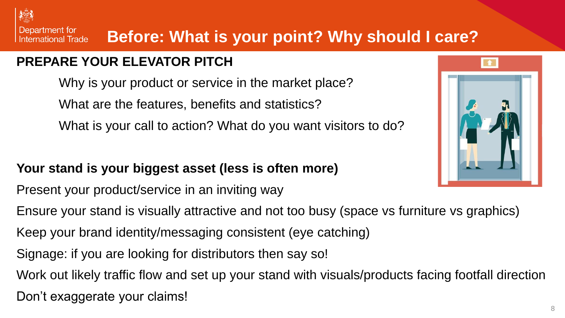Department for **Before: What is your point? Why should I care? International Trade** 

### **PREPARE YOUR ELEVATOR PITCH**

Why is your product or service in the market place? What are the features, benefits and statistics? What is your call to action? What do you want visitors to do?

### **Your stand is your biggest asset (less is often more)**

Present your product/service in an inviting way

Ensure your stand is visually attractive and not too busy (space vs furniture vs graphics)

- Keep your brand identity/messaging consistent (eye catching)
- Signage: if you are looking for distributors then say so!

Work out likely traffic flow and set up your stand with visuals/products facing footfall direction

Don't exaggerate your claims!

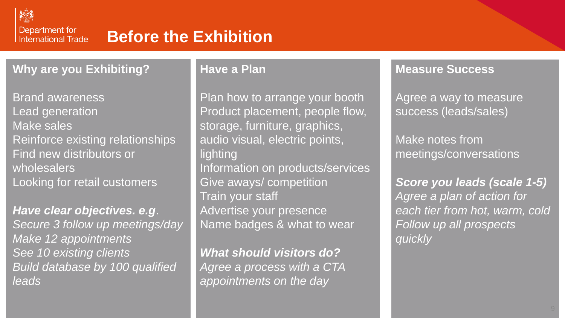

Department for **International Trade** 

# **Before the Exhibition**

**Why are you Exhibiting?**

Brand awareness Lead generation Make sales Reinforce existing relationships Find new distributors or wholesalers Looking for retail customers

*Have clear objectives. e.g*. *Secure 3 follow up meetings/day Make 12 appointments See 10 existing clients Build database by 100 qualified leads*

### **Have a Plan**

Plan how to arrange your booth Product placement, people flow, storage, furniture, graphics, audio visual, electric points, lighting Information on products/services Give aways/ competition Train your staff Advertise your presence Name badges & what to wear

*What should visitors do? Agree a process with a CTA appointments on the day*

### **Measure Success**

Agree a way to measure success (leads/sales)

Make notes from meetings/conversations

*Score you leads (scale 1-5) Agree a plan of action for each tier from hot, warm, cold Follow up all prospects quickly*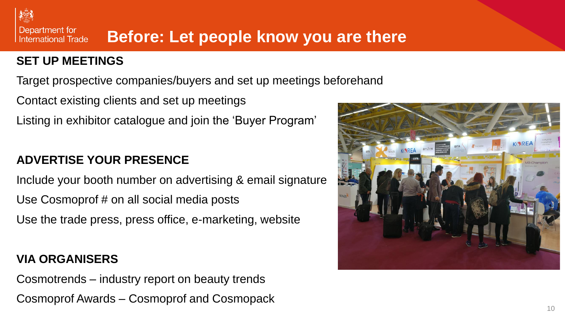### Department for **Before: Let people know you are there International Trade**

### **SET UP MEETINGS**

Target prospective companies/buyers and set up meetings beforehand

Contact existing clients and set up meetings Listing in exhibitor catalogue and join the 'Buyer Program'

### **ADVERTISE YOUR PRESENCE**

Include your booth number on advertising & email signature Use Cosmoprof # on all social media posts Use the trade press, press office, e-marketing, website

### **VIA ORGANISERS**

Cosmotrends – industry report on beauty trends Cosmoprof Awards – Cosmoprof and Cosmopack

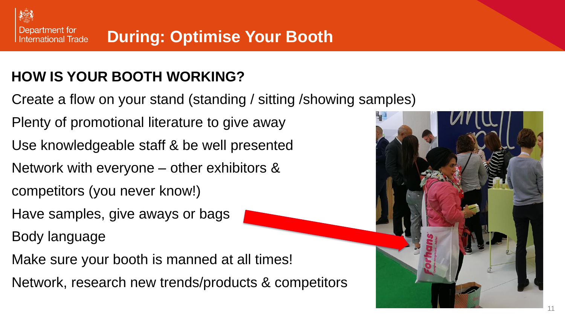# **HOW IS YOUR BOOTH WORKING?**

- Create a flow on your stand (standing / sitting /showing samples)
- Plenty of promotional literature to give away
- Use knowledgeable staff & be well presented
- Network with everyone other exhibitors &
- competitors (you never know!)
- Have samples, give aways or bags
- Body language
- Make sure your booth is manned at all times!
- Network, research new trends/products & competitors

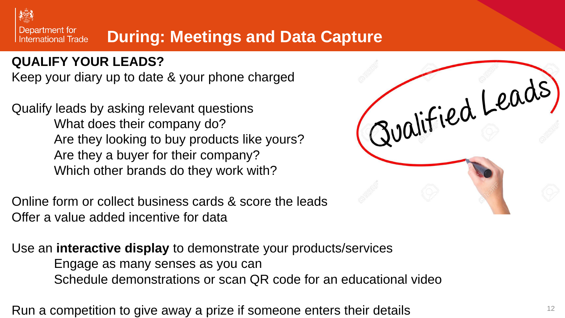

# **During: Meetings and Data Capture**

### **QUALIFY YOUR LEADS?**

Keep your diary up to date & your phone charged

Qualify leads by asking relevant questions What does their company do? Are they looking to buy products like yours? Are they a buyer for their company? Which other brands do they work with?

Online form or collect business cards & score the leads Offer a value added incentive for data

Use an **interactive display** to demonstrate your products/services Engage as many senses as you can Schedule demonstrations or scan QR code for an educational video

Run a competition to give away a prize if someone enters their details

| Jualified Leads, |  |
|------------------|--|
|                  |  |
|                  |  |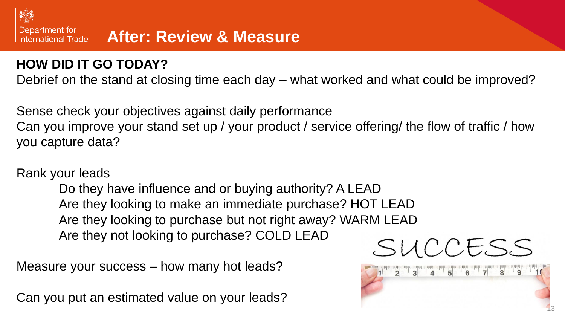

### **HOW DID IT GO TODAY?**

Debrief on the stand at closing time each day – what worked and what could be improved?

Sense check your objectives against daily performance

Can you improve your stand set up / your product / service offering/ the flow of traffic / how you capture data?

### Rank your leads

Do they have influence and or buying authority? A LEAD Are they looking to make an immediate purchase? HOT LEAD Are they looking to purchase but not right away? WARM LEAD Are they not looking to purchase? COLD LEAD

Measure your success – how many hot leads?

Can you put an estimated value on your leads?



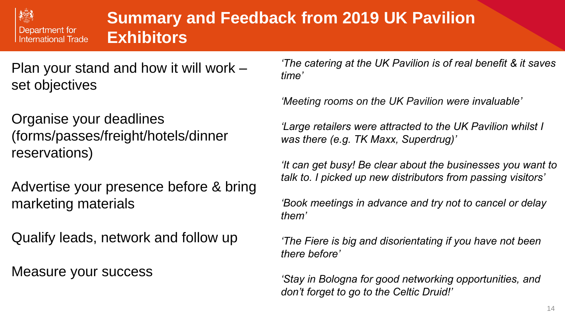

# **Summary and Feedback from 2019 UK Pavilion Exhibitors**

Plan your stand and how it will work – set objectives

Organise your deadlines (forms/passes/freight/hotels/dinner reservations)

Advertise your presence before & bring marketing materials

Qualify leads, network and follow up

Measure your success

*'The catering at the UK Pavilion is of real benefit & it saves time'*

*'Meeting rooms on the UK Pavilion were invaluable'*

*'Large retailers were attracted to the UK Pavilion whilst I was there (e.g. TK Maxx, Superdrug)'*

*'It can get busy! Be clear about the businesses you want to talk to. I picked up new distributors from passing visitors'*

*'Book meetings in advance and try not to cancel or delay them'*

*'The Fiere is big and disorientating if you have not been there before'*

*'Stay in Bologna for good networking opportunities, and don't forget to go to the Celtic Druid!'*